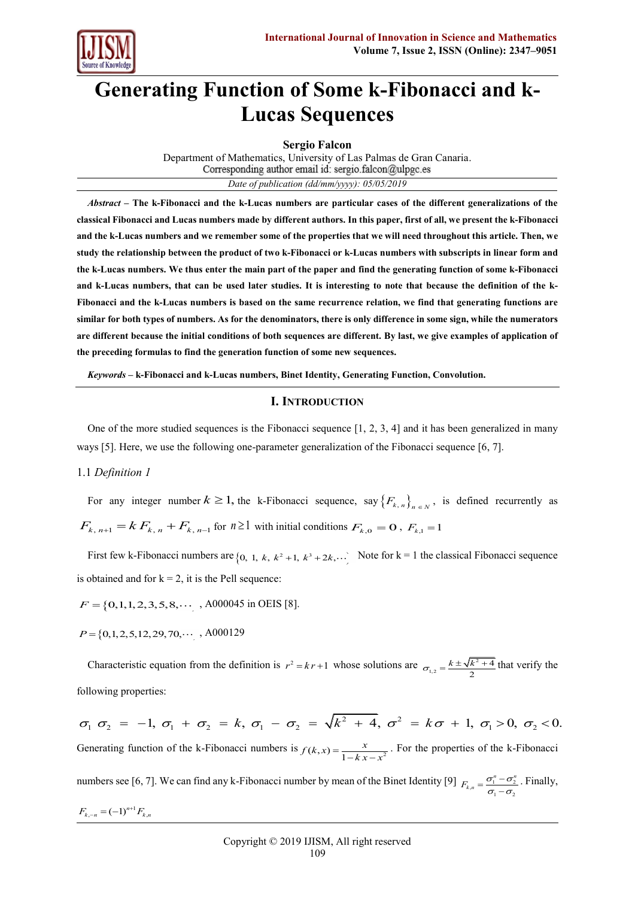

# **Generating Function of Some k-Fibonacci and k-Lucas Sequences**

**Sergio Falcon**

Department of Mathematics, University of Las Palmas de Gran Canaria. Corresponding author email id: sergio.falcon@ulpgc.es *Date of publication (dd/mm/yyyy): 05/05/2019*

*Abstract –* **The k-Fibonacci and the k-Lucas numbers are particular cases of the different generalizations of the classical Fibonacci and Lucas numbers made by different authors. In this paper, first of all, we present the k-Fibonacci and the k-Lucas numbers and we remember some of the properties that we will need throughout this article. Then, we study the relationship between the product of two k-Fibonacci or k-Lucas numbers with subscripts in linear form and the k-Lucas numbers. We thus enter the main part of the paper and find the generating function of some k-Fibonacci and k-Lucas numbers, that can be used later studies. It is interesting to note that because the definition of the k-Fibonacci and the k-Lucas numbers is based on the same recurrence relation, we find that generating functions are similar for both types of numbers. As for the denominators, there is only difference in some sign, while the numerators are different because the initial conditions of both sequences are different. By last, we give examples of application of the preceding formulas to find the generation function of some new sequences.**

*Keywords –* **k-Fibonacci and k-Lucas numbers, Binet Identity, Generating Function, Convolution.**

## **I. INTRODUCTION**

One of the more studied sequences is the Fibonacci sequence [1, 2, 3, 4] and it has been generalized in many ways [5]. Here, we use the following one-parameter generalization of the Fibonacci sequence [6, 7].

## 1.1 *Definition 1*

For any integer number  $k \ge 1$ , the k-Fibonacci sequence, say  $\{F_{k,n}\}_{n \in N}$ , is defined recurrently as  $F_{k, n+1} = k F_{k, n} + F_{k, n-1}$  for  $n \ge 1$  with initial conditions  $F_{k, 0} = 0$ ,  $F_{k, 1} = 1$ 

First few k-Fibonacci numbers are  $\{0, 1, k, k^2+1, k^3+2k, ...\}$  Note for  $k = 1$  the classical Fibonacci sequence is obtained and for  $k = 2$ , it is the Pell sequence:

 $F = \{0, 1, 1, 2, 3, 5, 8, \cdots \}$ , A000045 in OEIS [8].

 $P = \{0, 1, 2, 5, 12, 29, 70, \cdots, A000129\}$ 

Characteristic equation from the definition is  $r^2 = kr + 1$  whose solutions are  $\sigma_{\text{max}} = \frac{k \pm \sqrt{k^2}}{r^2}$  $\tau_{1,2} = \frac{k \pm \sqrt{k^2 + 4}}{2}$ 2  $\sigma_{12} = \frac{k \pm \sqrt{k^2 + 4}}{2}$  that verify the following properties:

 $\frac{1}{2}$  + 4,  $\sigma^2$ following properties:<br>  $\sigma_1 \sigma_2 = -1, \sigma_1 + \sigma_2 = k, \sigma_1 - \sigma_2 = \sqrt{k^2 + 4}, \sigma^2 = k\sigma + 1, \sigma_1 > 0, \sigma_2 < 0.$ Generating function of the k-Fibonacci numbers is  $f(k, x) = \frac{x}{1 - kx - x^2}$  $f(k, x) = \frac{x}{1 - kx - x^2}$ . For the properties of the k-Fibonacci numbers see [6, 7]. We can find any k-Fibonacci number by mean of the Binet Identity [9]  $F_{k,n} = \frac{\sigma_1^n - \sigma_2^n}{\sigma_1 - \sigma_2}$  $F_{k,n} = \frac{\sigma_1^{n} - \sigma_2^{n}}{n}$  $\sigma_{1}$  –  $\sigma$  $=\frac{\sigma_1^n - \sigma_1}{\sigma_1 - \sigma_1}$ . Finally,  $F_{k,-n} = (-1)^{n+1} F_{k,n}$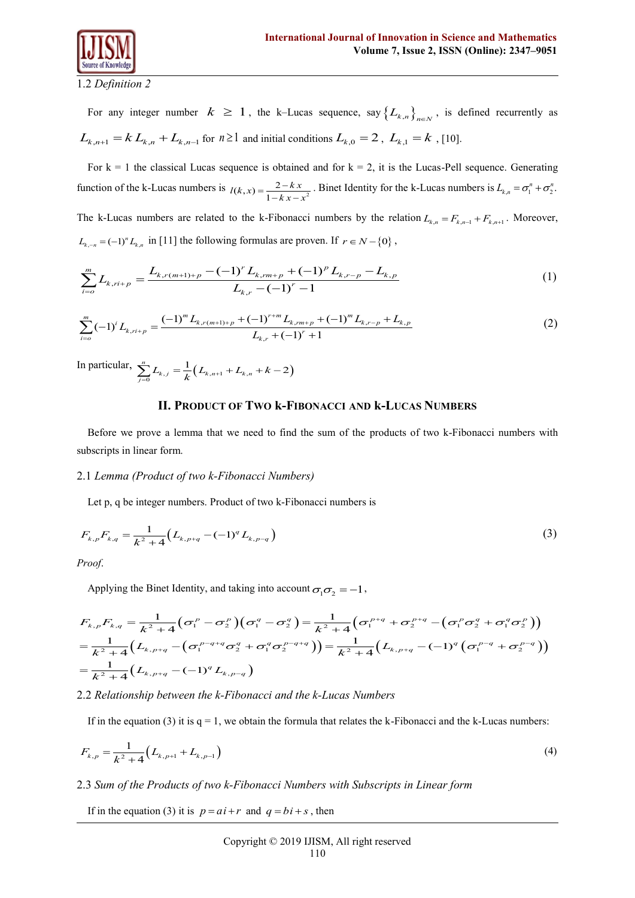

1.2 *Definition 2*

For any integer number  $k \ge 1$ , the k–Lucas sequence, say  $\{L_{k,n}\}_{n \in \mathbb{N}}$ , is defined recurrently as  $L_{k,n+1} = k L_{k,n} + L_{k,n-1}$  for  $n \ge 1$  and initial conditions  $L_{k,0} = 2$ ,  $L_{k,1} = k$ , [10].

For  $k = 1$  the classical Lucas sequence is obtained and for  $k = 2$ , it is the Lucas-Pell sequence. Generating function of the k-Lucas numbers is  $l(k, x) = \frac{2 - kx}{1 - kx - x^2}$  $=\frac{2-kx}{1-kx-x^2}$ . Binet Identity for the k-Lucas numbers is  $L_{k,n} = \sigma_1^n + \sigma_2^n$ . The k-Lucas numbers are related to the k-Fibonacci numbers by the relation  $L_{k,n} = F_{k,n-1} + F_{k,n+1}$ . Moreover,

$$
L_{k,-n} = (-1)^n L_{k,n} \text{ in [11] the following formulas are proven. If } r \in N - \{0\},
$$
\n
$$
\sum_{i=0}^m L_{k,r(i+p)} = \frac{L_{k,r(m+1)+p} - (-1)^r L_{k,rm+p} + (-1)^p L_{k,r-p} - L_{k,p}}{L_{k,r} - (-1)^r - 1}
$$
\n(1)\n
$$
\sum_{i=0}^m (-1)^i L_{k,r(i+p)} = \frac{(-1)^m L_{k,r(m+1)+p} + (-1)^{r+m} L_{k,rm+p} + (-1)^m L_{k,r-p} + L_{k,p}}{2}
$$
\n(2)

$$
\sum_{i=0}^{m} L_{k,ri+p} = \frac{\sum_{k,r} (m+r)+p \quad (\text{if } L_{k,r} - (-1)^r - 1)}{L_{k,r} - (-1)^r - 1} \tag{1}
$$
\n
$$
\sum_{i=0}^{m} (-1)^i L_{k,ri+p} = \frac{(-1)^m L_{k,r(m+1)+p} + (-1)^{r+m} L_{k,rm+p} + (-1)^m L_{k,r-p} + L_{k,p}}{L_{k,r} + (-1)^r + 1} \tag{2}
$$

In particular,  $\sum_{j=0}^{n} L_{k,j} = \frac{1}{k} (L_{k,n+1} + L_{k,n} + k - 2)$  $\sum_{j=0}^{n} L_{k,j} = \frac{1}{k} (L_{k,n+1} + L_{k,n} + k - 2)$ 

#### **II. PRODUCT OF TWO k-FIBONACCI AND k-LUCAS NUMBERS**

Before we prove a lemma that we need to find the sum of the products of two k-Fibonacci numbers with subscripts in linear form.

#### 2.1 *Lemma (Product of two k-Fibonacci Numbers)*

Let p, q be integer numbers. Product of two k-Fibonacci numbers is

$$
F_{k,p}F_{k,q} = \frac{1}{k^2 + 4} \Big( L_{k,p+q} - (-1)^q L_{k,p-q} \Big)
$$
 (3)

*Proof*.

Applying the Binet Identity, and taking into account  $\sigma_1 \sigma_2 = -1$ ,

Applying the Binet Identity, and taking into account 
$$
\sigma_1 \sigma_2 = -1
$$
,  
\n
$$
F_{k,p} F_{k,q} = \frac{1}{k^2 + 4} \Big( \sigma_1^p - \sigma_2^p \Big) \Big( \sigma_1^q - \sigma_2^q \Big) = \frac{1}{k^2 + 4} \Big( \sigma_1^{p+q} + \sigma_2^{p+q} - \Big( \sigma_1^p \sigma_2^q + \sigma_1^q \sigma_2^p \Big) \Big)
$$
\n
$$
= \frac{1}{k^2 + 4} \Big( L_{k,p+q} - \Big( \sigma_1^{p-q+q} \sigma_2^q + \sigma_1^q \sigma_2^{p-q+q} \Big) \Big) = \frac{1}{k^2 + 4} \Big( L_{k,p+q} - (-1)^q \Big( \sigma_1^{p-q} + \sigma_2^{p-q} \Big) \Big)
$$
\n
$$
= \frac{1}{k^2 + 4} \Big( L_{k,p+q} - (-1)^q L_{k,p-q} \Big)
$$

## 2.2 *Relationship between the k-Fibonacci and the k-Lucas Numbers*

If in the equation (3) it is  $q = 1$ , we obtain the formula that relates the k-Fibonacci and the k-Lucas numbers:

$$
F_{k,p} = \frac{1}{k^2 + 4} \left( L_{k,p+1} + L_{k,p-1} \right)
$$
\n(4)

#### 2.3 *Sum of the Products of two k-Fibonacci Numbers with Subscripts in Linear form*

If in the equation (3) it is  $p = ai + r$  and  $q = bi + s$ , then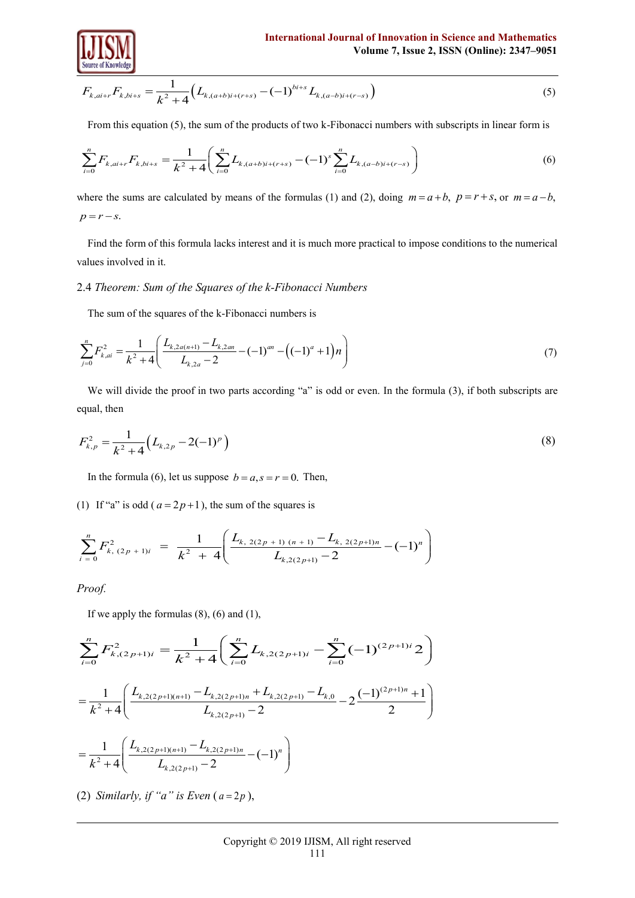

Source of Knowledge  

$$
F_{k,ai+r}F_{k,bi+s} = \frac{1}{k^2 + 4} (L_{k,(a+b)i+(r+s)} - (-1)^{bi+s} L_{k,(a-b)i+(r-s)})
$$
(5)

From this equation (5), the sum of the products of two k-Fibonacci numbers with subscripts in linear form is  
\n
$$
\sum_{i=0}^{n} F_{k,ai+r} F_{k,bi+s} = \frac{1}{k^2 + 4} \left( \sum_{i=0}^{n} L_{k,(a+b)i+(r+s)} - (-1)^s \sum_{i=0}^{n} L_{k,(a-b)i+(r-s)} \right)
$$
\n(6)

where the sums are calculated by means of the formulas (1) and (2), doing  $m = a + b$ ,  $p = r + s$ , or  $m = a - b$ ,  $p = r - s$ .

Find the form of this formula lacks interest and it is much more practical to impose conditions to the numerical values involved in it.

## 2.4 *Theorem: Sum of the Squares of the k-Fibonacci Numbers*

The sum of the squares of the k-Fibonacci numbers is

The sum of the squares of the k-1 conduct numbers is  
\n
$$
\sum_{j=0}^{n} F_{k,ai}^{2} = \frac{1}{k^{2} + 4} \left( \frac{L_{k,2a(n+1)} - L_{k,2an}}{L_{k,2a} - 2} - (-1)^{an} - \left( (-1)^{a} + 1 \right) n \right)
$$
\n(7)

We will divide the proof in two parts according "a" is odd or even. In the formula (3), if both subscripts are equal, then

$$
F_{k,p}^2 = \frac{1}{k^2 + 4} \left( L_{k,2p} - 2(-1)^p \right) \tag{8}
$$

In the formula (6), let us suppose  $b = a, s = r = 0$ . Then,

(1) If "a" is odd (
$$
a = 2p+1
$$
), the sum of the squares is  
\n
$$
\sum_{i=0}^{n} F_{k,(2p+1)i}^{2} = \frac{1}{k^{2} + 4} \left( \frac{L_{k,(2(2p+1)(n+1))} - L_{k,(2(2p+1)n})}{L_{k,(2(2p+1))} - 2} - (-1)^{n} \right)
$$

*Proof.*

Proof.  
\nIf we apply the formulas (8), (6) and (1),  
\n
$$
\sum_{i=0}^{n} F_{k,(2p+1)i}^{2} = \frac{1}{k^{2} + 4} \left( \sum_{i=0}^{n} L_{k,2(2p+1)i} - \sum_{i=0}^{n} (-1)^{(2p+1)i} 2 \right)
$$
\n
$$
= \frac{1}{k^{2} + 4} \left( \frac{L_{k,2(2p+1)(n+1)} - L_{k,2(2p+1)n} + L_{k,2(2p+1)} - L_{k,0}}{L_{k,2(2p+1)} - 2} - 2 \frac{(-1)^{(2p+1)n} + 1}{2} \right)
$$
\n
$$
= \frac{1}{k^{2} + 4} \left( \frac{L_{k,2(2p+1)(n+1)} - L_{k,2(2p+1)n}}{L_{k,2(2p+1)} - 2} - (-1)^{n} \right)
$$

(2) *Similarly, if "a" is Even*  $(a=2p)$ ,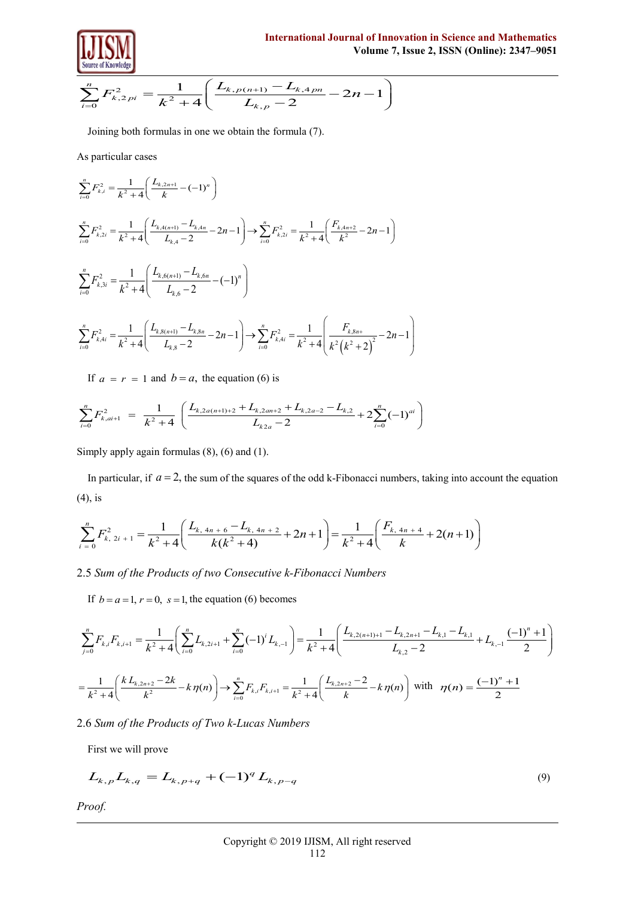

Volume of Knowledge  
\n
$$
\sum_{i=0}^{n} F_{k,2pi}^{2} = \frac{1}{k^{2} + 4} \left( \frac{L_{k,p(n+1)} - L_{k,4pn}}{L_{k,p} - 2} - 2n - 1 \right)
$$
\nVolume 7, Issue 2,

Joining both formulas in one we obtain the formula (7).

As particular cases

$$
\sum_{i=0}^{n} F_{k,i}^{2} = \frac{1}{k^{2} + 4} \left( \frac{L_{k,2n+1}}{k} - (-1)^{n} \right)
$$
\n
$$
\sum_{i=0}^{n} F_{k,2i}^{2} = \frac{1}{k^{2} + 4} \left( \frac{L_{k,4(n+1)} - L_{k,4n}}{L_{k,4} - 2} - 2n - 1 \right) \longrightarrow \sum_{i=0}^{n} F_{k,2i}^{2} = \frac{1}{k^{2} + 4} \left( \frac{F_{k,4n+2}}{k^{2}} - 2n - 1 \right)
$$
\n
$$
\sum_{i=0}^{n} F_{k,3i}^{2} = \frac{1}{k^{2} + 4} \left( \frac{L_{k,6(n+1)} - L_{k,6n}}{L_{k,6} - 2} - (-1)^{n} \right)
$$
\n
$$
\sum_{i=0}^{n} F_{k,4i}^{2} = \frac{1}{k^{2} + 4} \left( \frac{L_{k,8(n+1)} - L_{k,8n}}{L_{k,8} - 2} - 2n - 1 \right) \longrightarrow \sum_{i=0}^{n} F_{k,4i}^{2} = \frac{1}{k^{2} + 4} \left( \frac{F_{k,8n+1}}{k^{2} (k^{2} + 2)^{2}} - 2n - 1 \right)
$$

If 
$$
a = r = 1
$$
 and  $b = a$ , the equation (6) is  
\n
$$
\sum_{i=0}^{n} F_{k,ai+1}^{2} = \frac{1}{k^{2} + 4} \left( \frac{L_{k,2a(n+1)+2} + L_{k,2an+2} + L_{k,2a-2} - L_{k,2}}{L_{k,2a} - 2} + 2 \sum_{i=0}^{n} (-1)^{ai} \right)
$$

Simply apply again formulas (8), (6) and (1).

In particular, if  $a = 2$ , the sum of the squares of the odd k-Fibonacci numbers, taking into account the equation (4), is  $\left(\frac{L_{k,4n+6}-L_{k,4n+2}}{L(1,2n+1)}+2n+1\right)=\frac{1}{1,2n+1}\left(\frac{F_{k,4n+4}}{L}(n+1)\right)$ 

(4), is  
\n
$$
\sum_{i=0}^{n} F_{k, 2i+1}^{2} = \frac{1}{k^{2} + 4} \left( \frac{L_{k, 4n+6} - L_{k, 4n+2}}{k(k^{2} + 4)} + 2n + 1 \right) = \frac{1}{k^{2} + 4} \left( \frac{F_{k, 4n+4}}{k} + 2(n+1) \right)
$$

2.5 *Sum of the Products of two Consecutive k-Fibonacci Numbers*

If  $b = a = 1$ ,  $r = 0$ ,  $s = 1$ , the equation (6) becomes

2.5 Sum of the Products of two Consecutive k-Fibonacci Numbers  
\nIf 
$$
b = a = 1
$$
,  $r = 0$ ,  $s = 1$ , the equation (6) becomes  
\n
$$
\sum_{j=0}^{n} F_{k,j} F_{k,i+1} = \frac{1}{k^2 + 4} \left( \sum_{i=0}^{n} L_{k,2i+1} + \sum_{i=0}^{n} (-1)^i L_{k,-1} \right) = \frac{1}{k^2 + 4} \left( \frac{L_{k,2(n+1)+1} - L_{k,2n+1} - L_{k,1} - L_{k,1}}{L_{k,2} - 2} + L_{k,-1} \frac{(-1)^n + 1}{2} \right)
$$
\n
$$
= \frac{1}{k^2 + 4} \left( \frac{k L_{k,2n+2} - 2k}{k^2} - k \eta(n) \right) \to \sum_{i=0}^{n} F_{k,i} F_{k,i+1} = \frac{1}{k^2 + 4} \left( \frac{L_{k,2n+2} - 2}{k} - k \eta(n) \right) \text{ with } \eta(n) = \frac{(-1)^n + 1}{2}
$$

# 2.6 *Sum of the Products of Two k-Lucas Numbers*

First we will prove

$$
L_{k,p}L_{k,q} = L_{k,p+q} + (-1)^q L_{k,p-q}
$$
\n(9)

*Proof.*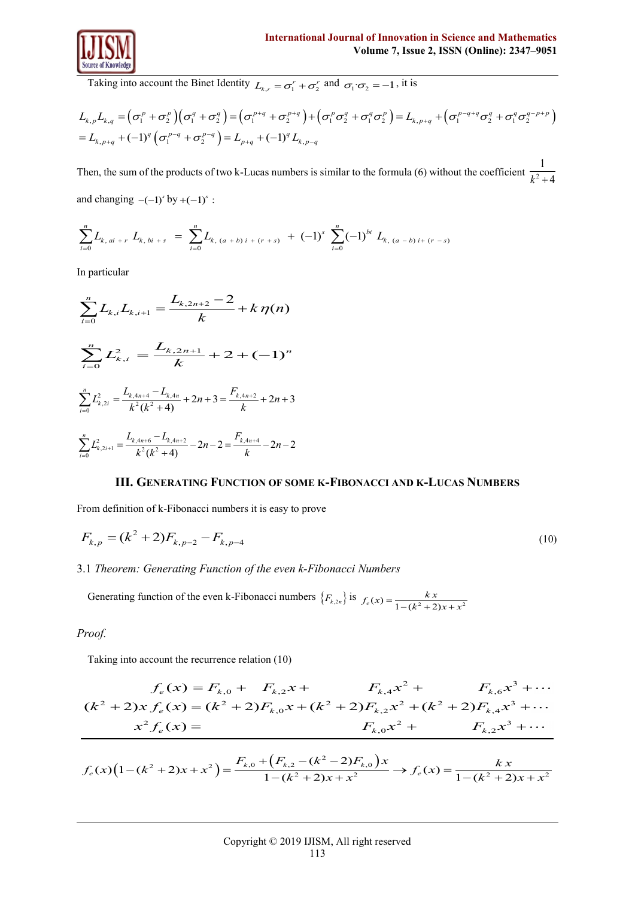

Taking into account the Binet Identity 
$$
L_{k,r} = \sigma_1^r + \sigma_2^r
$$
 and  $\sigma_1 \cdot \sigma_2 = -1$ , it is  
\n
$$
L_{k,p}L_{k,q} = (\sigma_1^p + \sigma_2^p)(\sigma_1^q + \sigma_2^q) = (\sigma_1^{p+q} + \sigma_2^{p+q}) + (\sigma_1^p \sigma_2^q + \sigma_1^q \sigma_2^p) = L_{k,p+q} + (\sigma_1^{p-q+q} \sigma_2^q + \sigma_1^q \sigma_2^{q-p+p})
$$
\n
$$
= L_{k,p+q} + (-1)^q (\sigma_1^{p-q} + \sigma_2^{p-q}) = L_{p+q} + (-1)^q L_{k,p-q}
$$

Then, the sum of the products of two k-Lucas numbers is similar to the formula (6) without the coefficient  $\frac{1}{l^2}$ 1 and changing  $-(-1)^s$  by  $+(-1)^s$ :

and changing 
$$
-(-1)^s
$$
 by  $+(-1)^s$ :  
\n
$$
\sum_{i=0}^n L_{k, ai+r} L_{k, bi+s} = \sum_{i=0}^n L_{k, (a+b)i+(r+s)} + (-1)^s \sum_{i=0}^n (-1)^{bi} L_{k, (a-b)i+(r-s)}
$$

In particular

$$
\sum_{i=0}^{n} L_{k,i} L_{k,i+1} = \frac{L_{k,2n+2} - 2}{k} + k \eta(n)
$$
  

$$
\sum_{i=0}^{n} L_{k,i}^{2} = \frac{L_{k,2n+1}}{k} + 2 + (-1)^{n}
$$
  

$$
\sum_{i=0}^{n} L_{k,2i}^{2} = \frac{L_{k,4n+4} - L_{k,4n}}{k^{2}(k^{2} + 4)} + 2n + 3 = \frac{F_{k,4n+2}}{k} + 2n + 3
$$
  

$$
\sum_{i=0}^{n} L_{k,2i+1}^{2} = \frac{L_{k,4n+6} - L_{k,4n+2}}{k^{2}(k^{2} + 4)} - 2n - 2 = \frac{F_{k,4n+4}}{k} - 2n - 2
$$

## **III. GENERATING FUNCTION OF SOME K-FIBONACCI AND K-LUCAS NUMBERS**

From definition of k-Fibonacci numbers it is easy to prove

$$
F_{k,p} = (k^2 + 2)F_{k,p-2} - F_{k,p-4}
$$
\n(10)

# 3.1 *Theorem: Generating Function of the even k-Fibonacci Numbers*

Generating function of the even k-Fibonacci numbers  $\{F_{k,2n}\}\$ is  $f_e(x) = \frac{kx}{1 - (k^2 + 2)x + x^2}$ 

*Proof.* 

Taking into account the recurrence relation (10)

Taking into account the recurrence relation (10)  
\n
$$
f_e(x) = F_{k,0} + F_{k,2}x + F_{k,4}x^2 + F_{k,6}x^3 + \cdots
$$
\n
$$
(k^2 + 2)x f_e(x) = (k^2 + 2)F_{k,0}x + (k^2 + 2)F_{k,2}x^2 + (k^2 + 2)F_{k,4}x^3 + \cdots
$$
\n
$$
x^2 f_e(x) = F_{k,0}x + (k^2 - 2)F_{k,0}x^2 + F_{k,2}x^3 + \cdots
$$
\n
$$
f_e(x)(1 - (k^2 + 2)x + x^2) = \frac{F_{k,0} + (F_{k,2} - (k^2 - 2)F_{k,0})x}{1 - (k^2 + 2)x + x^2} \rightarrow f_e(x) = \frac{kx}{1 - (k^2 + 2)x + x^2}
$$

$$
x^{2} f_{e}(x) = F_{k,0}x^{2} + F_{k,2}x^{3} + \cdots
$$
  

$$
f_{e}(x)(1 - (k^{2} + 2)x + x^{2}) = \frac{F_{k,0} + (F_{k,2} - (k^{2} - 2)F_{k,0})x}{1 - (k^{2} + 2)x + x^{2}} \rightarrow f_{e}(x) = \frac{kx}{1 - (k^{2} + 2)x + x^{2}}
$$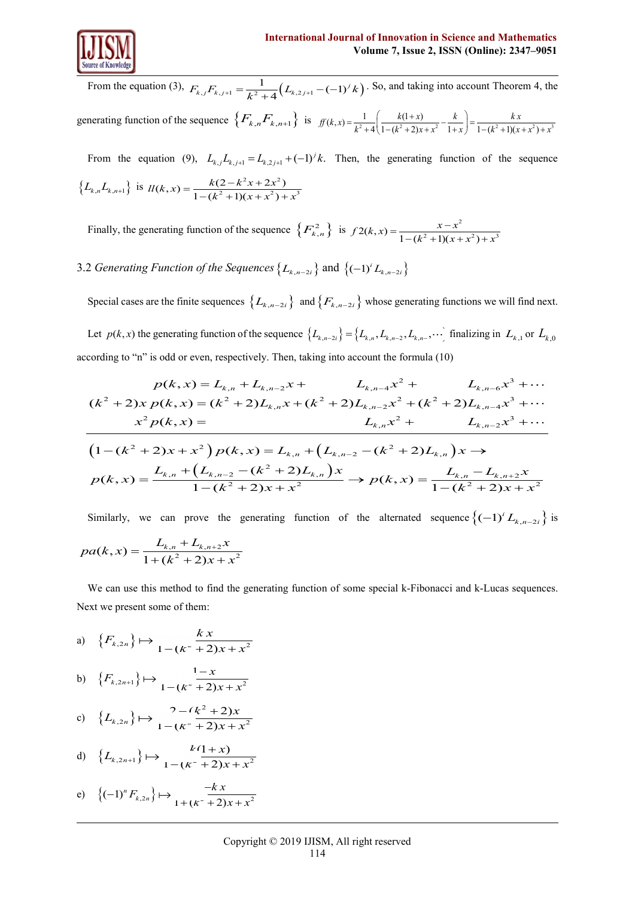

From the equation (3),  $F_{k,j}F_{k,j+1} = \frac{1}{k^2 + 4} (L_{k,2j+1} - (-1)^j k)$ . So, and taking into account Theorem 4, the generating function of the sequence  $\{F_{k,n}F_{k,n+1}\}\$  is  $f(k,x) = \frac{1}{k^2+4} \left( \frac{k(1+x)}{1-(k^2+2)x+x^2} - \frac{k}{1+x} \right) = \frac{kx}{1-(k^2+1)(x+x^2)+x^3}$  $k = \frac{1}{k^2 + 4} \left( \frac{k(1+x)}{1 - (k^2 + 2)x + x^2} - \frac{k}{1+x} \right) = \frac{kx}{1 - (k^2 + 1)(x + x^2) + x^3}$ 

From the equation (9),  $L_{k,j}L_{k,j+1} = L_{k,2,j+1} + (-1)^{j}k$ . Then, the generating function of the sequence  $\{L_{k,n}L_{k,n+1}\}\$  is  $l l(k, x) = \frac{k(2-k^2x+2x^2)}{(k-2)(2k+1)(2k+2)}$  $ll(k, x) = \frac{k(2 - k^2x + 2x^2)}{1 - (k^2 + 1)(x + x^2) + x^3}$  $=\frac{k(2-k^2x+2x^2)}{1-(k^2+1)(x+x^2)+x^3}$ 

Finally, the generating function of the sequence  $\{F_{k,n}^2\}$  is  $f2(k,x) = \frac{x-x^2}{1-(k^2+1)(x+x^2)+x^3}$ 

3.2 *Generating Function of the Sequences*  $\{L_{k,n-2i}\}\$  and  $\{(-1)^i L_{k,n-2i}\}\$ 

Special cases are the finite sequences  $\{L_{k,n-2i}\}\$  and  $\{F_{k,n-2i}\}\$  whose generating functions we will find next.

Let  $p(k, x)$  the generating function of the sequence  $\{L_{k,n-2}, L_{k,n-2}, L_{k,n-3}, \cdots\}$  finalizing in  $L_{k,1}$  or  $L_{k,0}$ <br>cording to "n" is odd or even, respectively. Then, taking into account the formula (10)<br> $p(k, x) = L_{k,n} + L_{$ according to "n" is odd or even, respectively. Then, taking into account the formula (10)<br>  $p(k, x) = L_{k,n} + L_{k,n-2}x + L_{k,n-4}x^2 + L_{k,n-6}x^3$  $\frac{1}{2}$  odd or ev

From the equation (3), 
$$
F_{k,j}F_{k,j+1} = \frac{1}{k^2 + 4}(L_{k,j+1} - (-1)^j k)
$$
. So, and taking into account Theorem 4, the  
nerating function of the sequence  $\{F_{k,n}F_{k,n+1}\}$  is  $f(k,x) = \frac{1}{k^2 + 4}(\frac{k(1+x)}{1-(k^2+2)x+x^2} - \frac{k}{1+x}) = \frac{kx}{1-(k^2+1)(x+x^2)+x^2}$   
From the equation (9),  $L_{k,j}L_{k,j+1} = L_{k,j+1} + (-1)^j k$ . Then, the generating function of the sequence  
 $L_{k,n}L_{k,n-1}$  is  $H(k,x) = \frac{k(2-k^2x+2x^2)}{1-(k^2+1)(x+x^2)+x^2}$   
Finally, the generating function of the sequence  $\{F_{k,n}^2\}$  is  $f2(k,x) = \frac{x-x^2}{1-(k^2+1)(x+x^2)+x^3}$   
2 *Generating function of the Sequences*  $\{L_{k,n-2t}\}$  and  $\{(-1)^j L_{k,n-2t}\}$   
Specificases are the finite sequences  $\{L_{k,n-2t}\}$  and  $\{F_{k,n-2t}\}$  whose generating functions we will find next.  
Let  $p(k,x)$  the generating function of the sequence  $\{L_{k,n-2t}\}$  and  $\{F_{k,n-2t}\}$  whose generating functions we will find next.  
Let  $p(k,x)$  the generating function of the sequence  $\{L_{k,n-2t}\}$  and  $\{F_{k,n-2t}\}$  whose generating functions we will find next.  
  
Let  $p(k,x)$  the generating function of the sequence  $\{L_{k,n-2t}\}$  and  $\{F_{k,n-2t}\}$  whose generating functions we will find next.  
  
Let  $p(k,x)$  the generating function of the sequence  $\{L_{k,n-2t} = \frac{1}{k^2k^2 + 2k^2 + k^2 + k^2 + 2k^2 + k^2 + 2k^2 + k^2 + 2k^2 + k^2 + 2k^2 + k^2 + 2k^2 + k^2 + 2k^2 + k^2 + 2k^2 + 2k^2 + 2k^2 + 2k^2 + 2k^2 + 2k^2 + 2k^2 + 2k^2 + 2k^$ 

Similarly, we can prove the generating function of the alternated sequence  $\left\{(-1)^i L_{k,n-2i}\right\}$  is

$$
pa(k, x) = \frac{L_{k,n} + L_{k,n+2}x}{1 + (k^2 + 2)x + x^2}
$$

We can use this method to find the generating function of some special k-Fibonacci and k-Lucas sequences. Next we present some of them:

a) 
$$
\{F_{k,2n}\}\mapsto \frac{kx}{1-(k^2+2)x+x^2}
$$

b) 
$$
\{F_{k,2n+1}\}\mapsto \frac{1-x}{1-(\kappa^2+2)x+x^2}
$$

c) 
$$
\{L_{k,2n}\}\mapsto \frac{2-(k^2+2)x}{1-(k^2+2)x+x^2}
$$

d) 
$$
{L_{k,2n+1}} \rightarrow L \tfrac{k(1+x)}{1-(k^2+2)x+x^2}
$$

e) 
$$
\{(-1)^n F_{k,2n}\}\mapsto \frac{-kx}{1+(k^2+2)x+x^2}
$$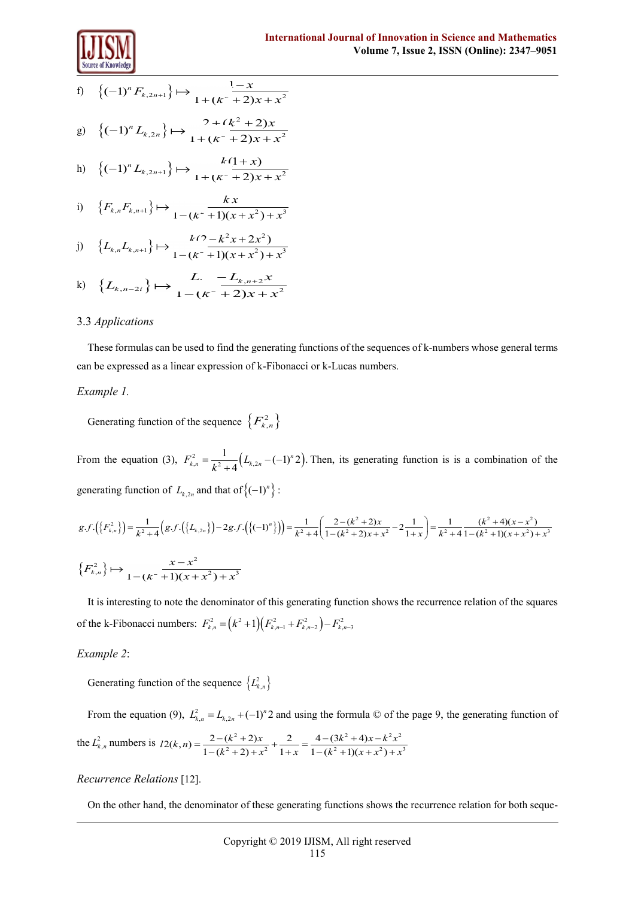

f) 
$$
\left\{(-1)^n F_{k,2n+1}\right\} \mapsto \frac{1-x}{1 + (k^2 + 2)x + x^2}
$$
  
g) 
$$
\left\{(-1)^n L_{k,2n}\right\} \mapsto \frac{2 + (k^2 + 2)x}{1 + (k^2 + 2)x + x^2}
$$

h) 
$$
\{(-1)^n L_{k,2n+1}\} \mapsto L^2 \frac{k(1+x)}{1 + (k^2 + 2)x + x^2}
$$

i) 
$$
\{F_{k,n}F_{k,n+1}\}\mapsto \frac{kx}{1-(k^2+1)(x+x^2)+x^3}
$$

j) 
$$
\left\{L_{k,n}L_{k,n+1}\right\} \mapsto \frac{k(2-k^2x+2x^2)}{1-(k^2+1)(x+x^2)+x^3}
$$

k) 
$$
\{L_{k,n-2i}\}\mapsto \frac{L_{k,n+2}x}{1-(k^2+2)x+x^2}
$$

## 3.3 *Applications*

These formulas can be used to find the generating functions of the sequences of k-numbers whose general terms can be expressed as a linear expression of k-Fibonacci or k-Lucas numbers.

## *Example 1.*

Generating function of the sequence  $\{F_{k,n}^2\}$ 

From the equation (3),  $F_{k,n}^2 = \frac{1}{L^2 + 4} (L_{k,2n} - (-1)^n 2)$ .  $F_{k,n}^2 = \frac{1}{k^2 + 4} (L_{k,2n} - (-1)^n 2)$ . Then, its generating function is is a combination of the generating function of  $L_{k,2n}$  and that of  $\left\{(-1)^n\right\}$ :  $\left(\frac{2-(k^2+2)x}{1-(k^2+2)x+x^2}-2\frac{1}{1+x}\right)=\frac{1}{k^2+4}\frac{(k^2+4)(x-x^2)}{1-(k^2+1)(x+x^2)+x^3}$ 

generating function of 
$$
L_{k,2n}
$$
 and that of  $\{(-1)^n\}$ :  
\n
$$
g.f.\left(\{F_{k,n}^2\}\right) = \frac{1}{k^2 + 4} \Big(g.f.\left(\{L_{k,2n}\}\right) - 2g.f.\left(\{(-1)^n\}\right)\Big) = \frac{1}{k^2 + 4} \Big(\frac{2 - (k^2 + 2)x}{1 - (k^2 + 2)x + x^2} - 2\frac{1}{1 + x}\Big) = \frac{1}{k^2 + 4} \frac{(k^2 + 4)(x - x^2)}{1 - (k^2 + 1)(x + x^2) + x^3}
$$
\n
$$
\{F_{k,n}^2\} \mapsto \frac{x - x^2}{1 - (k^2 + 1)(x + x^2) + x^3}
$$

It is interesting to note the denominator of this generating function shows the recurrence relation of the squares of the k-Fibonacci numbers:  $F_{k,n}^2 = (k^2 + 1)(F_{k,n-1}^2 + F_{k,n-2}^2) - F_{k,n-3}^2$ 

## *Example 2*:

Generating function of the sequence  $\{L^2_{k,n}\}\$ 

From the equation (9),  $L_{k,n}^2 = L_{k,2n} + (-1)^n 2$  and using the formula  $\odot$  of the page 9, the generating function of the  $L^2_{k,n}$  numbers is  $l2(k,n) = \frac{2-(k^2+2)x}{2(k,n)(k-2)} + \frac{2}{k-1} = \frac{4-(3k^2+4)x-k^2x^2}{2(k,n)(k-2)}$ in (9),  $L_{k,n}^2 = L_{k,2n} + (-1)^n 2$  and using the formula  $\odot$  of the<br>  $l2(k,n) = \frac{2 - (k^2 + 2)x}{1 - (k^2 + 2) + x^2} + \frac{2}{1 + x} = \frac{4 - (3k^2 + 4)x - k^2 x^2}{1 - (k^2 + 1)(x + x^2) + x^3}$  $\zeta_{k,n} = L_{k,2n} + (-1)^n 2$  and using the formula  $\odot$  of the page<br>=  $\frac{2 - (k^2 + 2)x}{1 - (k^2 + 2) + x^2} + \frac{2}{1 + x} = \frac{4 - (3k^2 + 4)x - k^2 x^2}{1 - (k^2 + 1)(x + x^2) + x^3}$ 

# *Recurrence Relations* [12].

On the other hand, the denominator of these generating functions shows the recurrence relation for both seque-